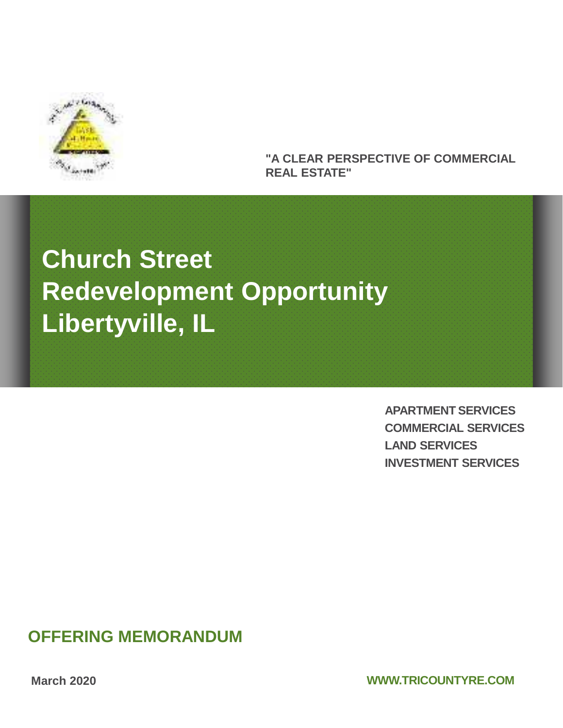

#### **"A CLEAR PERSPECTIVE OF COMMERCIAL REAL ESTATE"**

# **Church Street Redevelopment Opportunity Libertyville, IL**

**APARTMENT SERVICES COMMERCIAL SERVICES LAND SERVICES INVESTMENT SERVICES**

## **OFFERING MEMORANDUM**

**March 2020**

**WWW.TRICOUNTYRE.COM**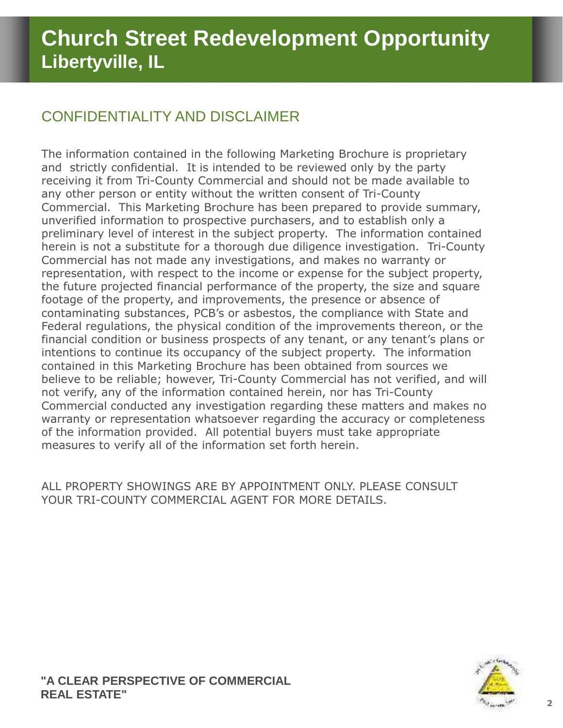## CONFIDENTIALITY AND DISCLAIMER

The information contained in the following Marketing Brochure is proprietary and strictly confidential. It is intended to be reviewed only by the party receiving it from Tri-County Commercial and should not be made available to any other person or entity without the written consent of Tri-County Commercial. This Marketing Brochure has been prepared to provide summary, unverified information to prospective purchasers, and to establish only a preliminary level of interest in the subject property. The information contained herein is not a substitute for a thorough due diligence investigation. Tri-County Commercial has not made any investigations, and makes no warranty or representation, with respect to the income or expense for the subject property, the future projected financial performance of the property, the size and square footage of the property, and improvements, the presence or absence of contaminating substances, PCB's or asbestos, the compliance with State and Federal regulations, the physical condition of the improvements thereon, or the financial condition or business prospects of any tenant, or any tenant's plans or intentions to continue its occupancy of the subject property. The information contained in this Marketing Brochure has been obtained from sources we believe to be reliable; however, Tri-County Commercial has not verified, and will not verify, any of the information contained herein, nor has Tri-County Commercial conducted any investigation regarding these matters and makes no warranty or representation whatsoever regarding the accuracy or completeness of the information provided. All potential buyers must take appropriate measures to verify all of the information set forth herein.

ALL PROPERTY SHOWINGS ARE BY APPOINTMENT ONLY. PLEASE CONSULT YOUR TRI-COUNTY COMMERCIAL AGENT FOR MORE DETAILS.

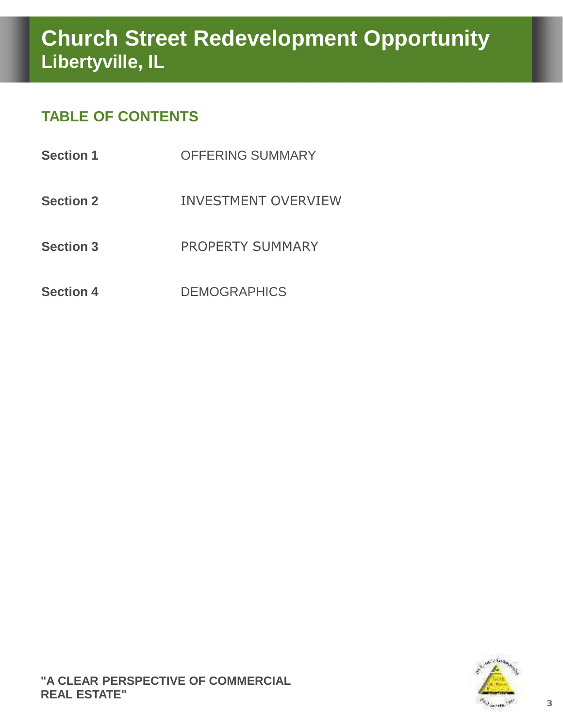## **TABLE OF CONTENTS**

| <b>Section 1</b> | <b>OFFERING SUMMARY</b>    |
|------------------|----------------------------|
| <b>Section 2</b> | <b>INVESTMENT OVERVIEW</b> |
| <b>Section 3</b> | <b>PROPERTY SUMMARY</b>    |
| <b>Section 4</b> | <b>DEMOGRAPHICS</b>        |

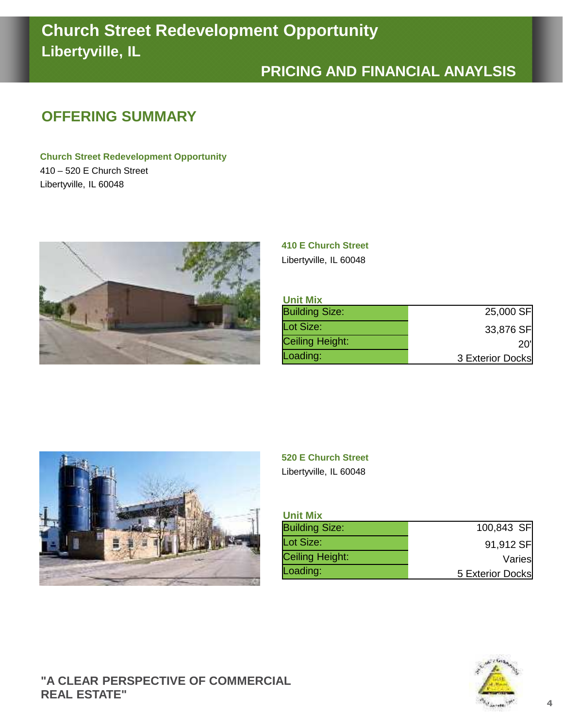# **Church Street Redevelopment Opportunity Libertyville, IL**

## **PRICING AND FINANCIAL ANAYLSIS**

## **OFFERING SUMMARY**

**Church Street Redevelopment Opportunity** 410 – 520 E Church Street Libertyville, IL 60048



**410 E Church Street** Libertyville, IL 60048

## **Unit Mix**

| <b>UNIT MIX</b>       |                  |
|-----------------------|------------------|
| <b>Building Size:</b> | 25,000 SF        |
| Lot Size:             | 33,876 SF        |
| Ceiling Height:       | <b>20'l</b>      |
| Loading:              | 3 Exterior Docks |



#### **520 E Church Street**

Libertyville, IL 60048

| <b>Unit Mix</b>       |                  |
|-----------------------|------------------|
| <b>Building Size:</b> | 100,843 SF       |
| Lot Size:             | 91,912 SF        |
| Ceiling Height:       | Varies           |
| Loading:              | 5 Exterior Docks |

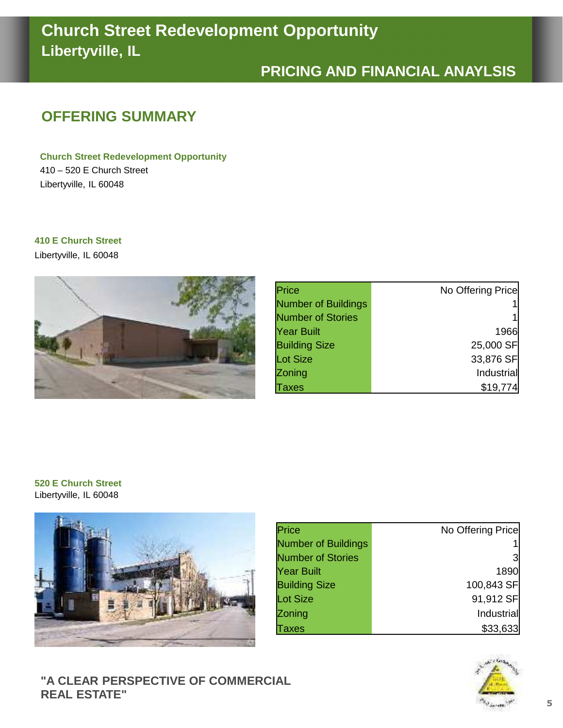# **Church Street Redevelopment Opportunity Libertyville, IL**

## **PRICING AND FINANCIAL ANAYLSIS**

## **OFFERING SUMMARY**

**Church Street Redevelopment Opportunity** 410 – 520 E Church Street Libertyville, IL 60048

#### **410 E Church Street**

Libertyville, IL 60048



| Price                      | No Offering Price |
|----------------------------|-------------------|
| <b>Number of Buildings</b> |                   |
| <b>Number of Stories</b>   |                   |
| Year Built                 | 1966              |
| <b>Building Size</b>       | 25,000 SF         |
| Lot Size                   | 33,876 SF         |
| Zoning                     | Industrial        |
| axes                       | \$19,774          |

#### **520 E Church Street** Libertyville, IL 60048



| Price                      | No Offering Price |
|----------------------------|-------------------|
| <b>Number of Buildings</b> |                   |
| <b>Number of Stories</b>   | 3                 |
| <b>Year Built</b>          | 1890              |
| <b>Building Size</b>       | 100,843 SF        |
| Lot Size                   | 91,912 SF         |
| Zoning                     | Industrial        |
| axes                       | \$33,633          |



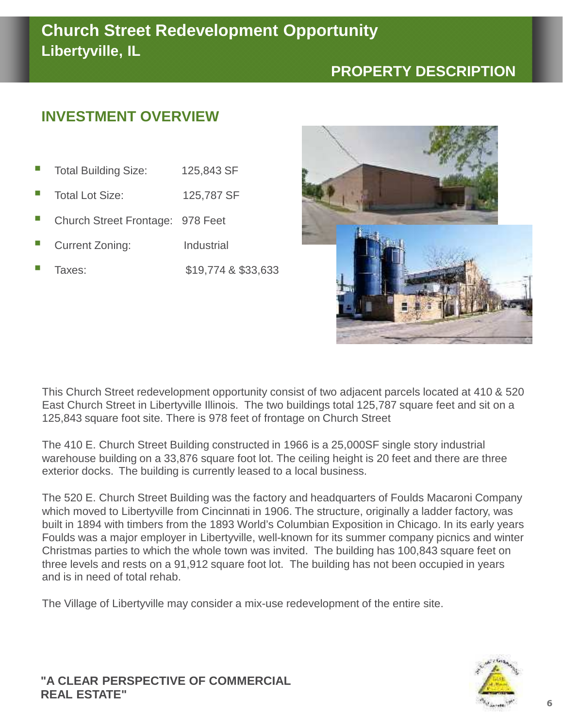## **PROPERTY DESCRIPTION**

## **INVESTMENT OVERVIEW**

- Total Building Size: 125,843 SF
- Total Lot Size: 125,787 SF
- Church Street Frontage: 978 Feet
- Current Zoning: Industrial
- Taxes: \$19,774 & \$33,633



This Church Street redevelopment opportunity consist of two adjacent parcels located at 410 & 520 East Church Street in Libertyville Illinois. The two buildings total 125,787 square feet and sit on a 125,843 square foot site. There is 978 feet of frontage on Church Street

The 410 E. Church Street Building constructed in 1966 is a 25,000SF single story industrial warehouse building on a 33,876 square foot lot. The ceiling height is 20 feet and there are three exterior docks. The building is currently leased to a local business.

The 520 E. Church Street Building was the factory and headquarters of Foulds Macaroni Company which moved to Libertyville from Cincinnati in 1906. The structure, originally a ladder factory, was built in 1894 with timbers from the 1893 World's Columbian Exposition in Chicago. In its early years Foulds was a major employer in Libertyville, well-known for its summer company picnics and winter Christmas parties to which the whole town was invited. The building has 100,843 square feet on three levels and rests on a 91,912 square foot lot. The building has not been occupied in years and is in need of total rehab.

The Village of Libertyville may consider a mix-use redevelopment of the entire site.

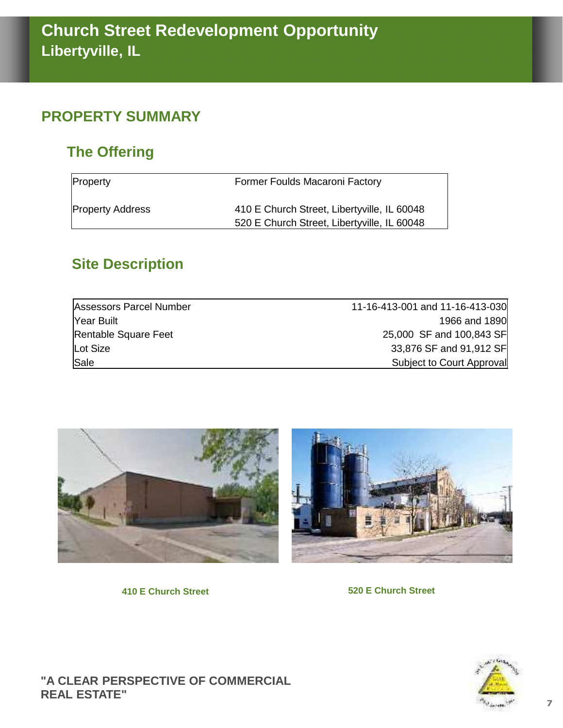## **PROPERTY SUMMARY**

## **The Offering**

| Property                | Former Foulds Macaroni Factory              |
|-------------------------|---------------------------------------------|
| <b>Property Address</b> | 410 E Church Street, Libertyville, IL 60048 |
|                         | 520 E Church Street, Libertyville, IL 60048 |

## **Site Description**

| Assessors Parcel Number | 11-16-413-001 and 11-16-413-030 |
|-------------------------|---------------------------------|
| Year Built              | 1966 and 1890                   |
| Rentable Square Feet    | 25,000 SF and 100,843 SF        |
| Lot Size                | 33,876 SF and 91,912 SF         |
| Sale                    | Subject to Court Approval       |



**410 E Church Street 520 E Church Street**



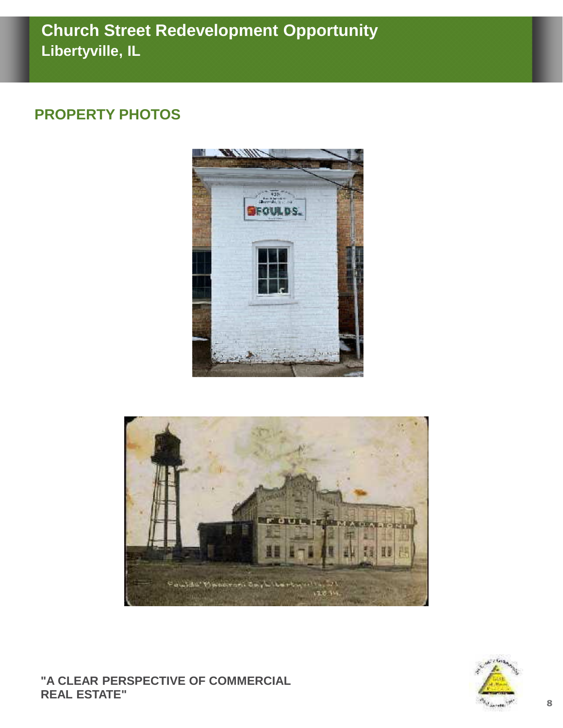## **PROPERTY PHOTOS**





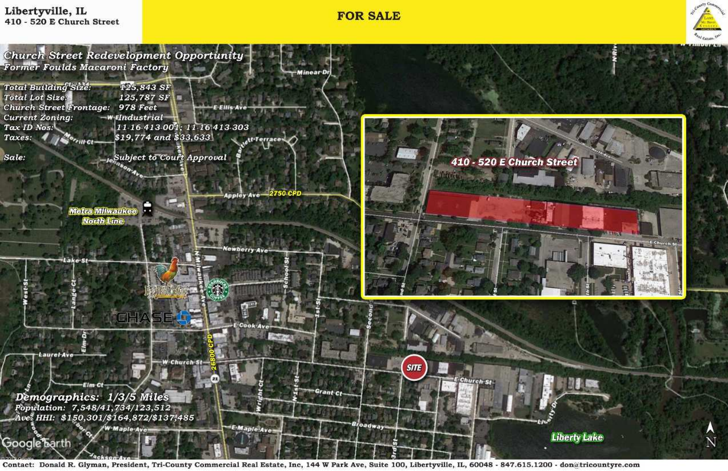# Libertyville, IL

## **FOR SALE**



Contact: Donald R. Glyman, President, Tri-County Commercial Real Estate, Inc, 144 W Park Ave, Suite 100, Libertyville, IL, 60048 - 847.615.1200 - donatricountyre.com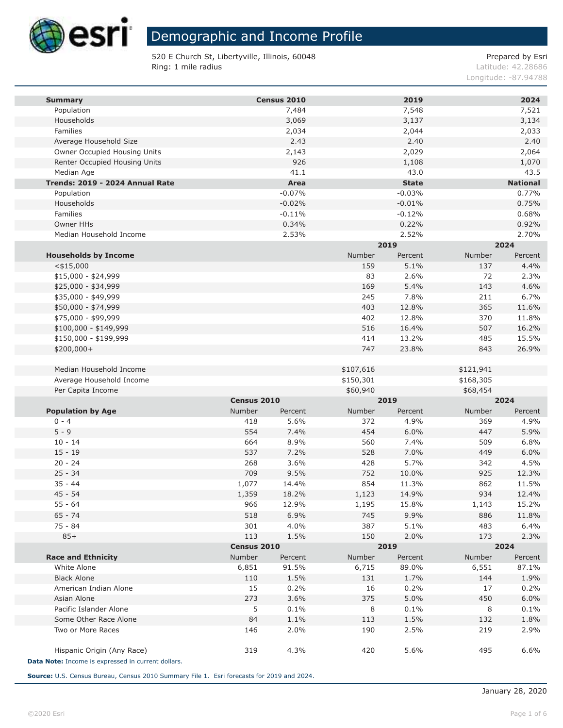

520 E Church St, Libertyville, Illinois, 60048 Ring: 1 mile radius

Prepared by Esri

Latitude: 42.28686 Longitude: - 87.94788

| <b>Summary</b>                                     |             | Census 2010  |            | 2019         |            | 2024            |
|----------------------------------------------------|-------------|--------------|------------|--------------|------------|-----------------|
| Population                                         |             | 7,484        |            | 7,548        |            | 7,521           |
| Households                                         |             | 3,069        |            | 3,137        |            | 3,134           |
| Families                                           |             | 2,034        |            | 2,044        |            | 2,033           |
| Average Household Size                             |             | 2.43         |            | 2.40         |            | 2.40            |
| Owner Occupied Housing Units                       |             | 2,143        |            | 2,029        |            | 2,064           |
| Renter Occupied Housing Units                      |             | 926          |            | 1,108        |            | 1,070           |
| Median Age                                         |             | 41.1         |            | 43.0         |            | 43.5            |
| Trends: 2019 - 2024 Annual Rate                    |             | Area         |            | <b>State</b> |            | <b>National</b> |
| Population                                         |             | $-0.07%$     |            | $-0.03%$     |            | 0.77%           |
| Households                                         |             | $-0.02%$     |            | $-0.01%$     |            | 0.75%           |
| Families                                           |             | $-0.11%$     |            | $-0.12%$     |            | 0.68%           |
| Owner HHs                                          |             | 0.34%        |            | 0.22%        |            | 0.92%           |
| Median Household Income                            |             | 2.53%        |            | 2.52%        |            | 2.70%           |
|                                                    |             |              |            | 2019         |            | 2024            |
| <b>Households by Income</b>                        |             |              | Number     | Percent      | Number     | Percent         |
| $<$ \$15,000                                       |             |              | 159<br>83  | 5.1%         | 137        | 4.4%            |
| $$15,000 - $24,999$<br>$$25,000 - $34,999$         |             |              | 169        | 2.6%<br>5.4% | 72<br>143  | 2.3%<br>4.6%    |
| \$35,000 - \$49,999                                |             |              | 245        | 7.8%         | 211        | 6.7%            |
| \$50,000 - \$74,999                                |             |              | 403        | 12.8%        | 365        | 11.6%           |
| \$75,000 - \$99,999                                |             |              | 402        | 12.8%        | 370        | 11.8%           |
| $$100,000 - $149,999$                              |             |              | 516        | 16.4%        | 507        | 16.2%           |
| \$150,000 - \$199,999                              |             |              | 414        | 13.2%        | 485        | 15.5%           |
| \$200,000+                                         |             |              | 747        | 23.8%        | 843        | 26.9%           |
|                                                    |             |              |            |              |            |                 |
| Median Household Income                            |             |              | \$107,616  |              | \$121,941  |                 |
| Average Household Income                           |             |              | \$150,301  |              | \$168,305  |                 |
| Per Capita Income                                  |             |              | \$60,940   |              | \$68,454   |                 |
|                                                    | Census 2010 |              |            | 2019         |            | 2024            |
| <b>Population by Age</b>                           | Number      | Percent      | Number     | Percent      | Number     | Percent         |
| $0 - 4$                                            | 418         | 5.6%         | 372        | 4.9%         | 369        | 4.9%            |
| $5 - 9$                                            | 554         | 7.4%         | 454        | 6.0%         | 447        | 5.9%            |
| $10 - 14$                                          | 664         | 8.9%         | 560        | 7.4%         | 509        | 6.8%            |
| $15 - 19$                                          | 537         | 7.2%         | 528        | 7.0%         | 449        | 6.0%            |
| $20 - 24$                                          | 268         | 3.6%         | 428        | 5.7%         | 342        | 4.5%            |
| $25 - 34$                                          | 709         | 9.5%         | 752        | 10.0%        | 925        | 12.3%           |
| $35 - 44$                                          | 1,077       | 14.4%        | 854        | 11.3%        | 862        | 11.5%           |
| $45 - 54$                                          | 1,359       | 18.2%        | 1,123      | 14.9%        | 934        | 12.4%           |
| $55 - 64$                                          | 966         | 12.9%        | 1,195      | 15.8%        | 1,143      | 15.2%           |
| 65 - 74                                            | 518         | 6.9%         | 745        | 9.9%         | 886        | 11.8%           |
| 75 - 84<br>$85+$                                   | 301<br>113  | 4.0%<br>1.5% | 387<br>150 | 5.1%         | 483<br>173 | 6.4%            |
|                                                    | Census 2010 |              |            | 2.0%<br>2019 |            | 2.3%<br>2024    |
| <b>Race and Ethnicity</b>                          | Number      | Percent      | Number     | Percent      | Number     | Percent         |
| White Alone                                        | 6,851       | 91.5%        | 6,715      | 89.0%        | 6,551      | 87.1%           |
| <b>Black Alone</b>                                 | 110         | 1.5%         | 131        | 1.7%         | 144        | 1.9%            |
| American Indian Alone                              | 15          | 0.2%         | 16         | 0.2%         | 17         | 0.2%            |
| Asian Alone                                        | 273         | 3.6%         | 375        | 5.0%         | 450        | 6.0%            |
| Pacific Islander Alone                             | 5           | $0.1\%$      | 8          | 0.1%         | 8          | 0.1%            |
| Some Other Race Alone                              | 84          | 1.1%         | 113        | 1.5%         | 132        | 1.8%            |
| Two or More Races                                  | 146         | 2.0%         | 190        | 2.5%         | 219        | 2.9%            |
|                                                    |             |              |            |              |            |                 |
| Hispanic Origin (Any Race)                         | 319         | 4.3%         | 420        | 5.6%         | 495        | 6.6%            |
| Data Note: Income is expressed in current dollars. |             |              |            |              |            |                 |

Source: U.S. Census Bureau, Census 2010 Summary File 1. Esri forecasts for 2019 and 2024.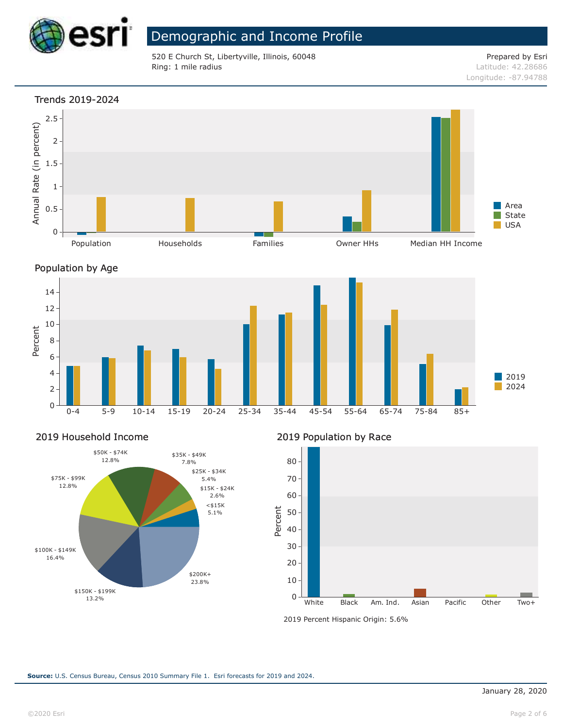

520 E Church St, Libertyville, Illinois, 60048 Ring: 1 mile radius

Prepared by Esri Latitude: 42.28686

Longitude: -87.94788

#### Trends 2019-2024







#### 2019 Household Income



2019 Population by Race



2019 Percent Hispanic Origin: 5.6%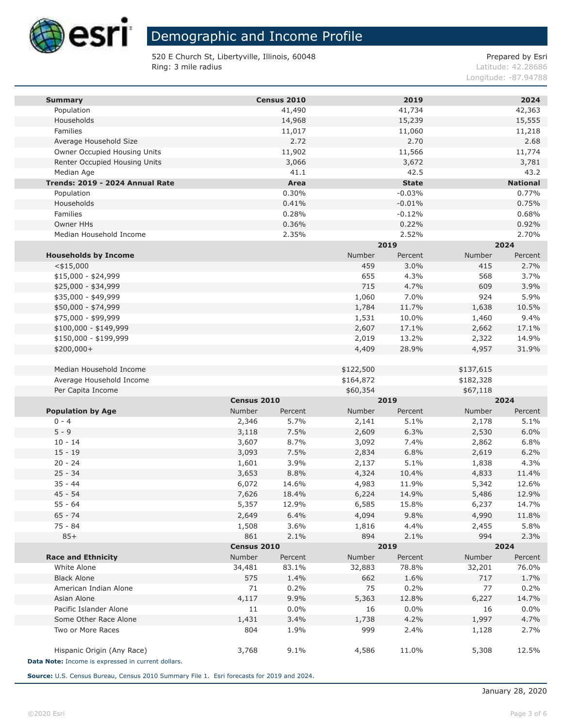

520 E Church St, Libertyville, Illinois, 60048 Ring: 3 mile radius

Prepared by Esri

Latitude: 42.28686 Longitude: -87.94788

| <b>Summary</b>                                     |                       | Census 2010      |            | 2019            |            | 2024            |
|----------------------------------------------------|-----------------------|------------------|------------|-----------------|------------|-----------------|
| Population                                         |                       | 41,490           |            | 41,734          |            | 42,363          |
| Households                                         |                       | 14,968           |            | 15,239          |            | 15,555          |
| Families                                           |                       | 11,017           |            | 11,060          |            | 11,218          |
| Average Household Size                             |                       | 2.72             |            | 2.70            |            | 2.68            |
| Owner Occupied Housing Units                       |                       | 11,902           |            | 11,566          |            | 11,774          |
| Renter Occupied Housing Units                      |                       | 3,066            |            | 3,672           |            | 3,781           |
| Median Age                                         |                       | 41.1             |            | 42.5            |            | 43.2            |
| Trends: 2019 - 2024 Annual Rate                    |                       | Area             |            | <b>State</b>    |            | <b>National</b> |
| Population                                         |                       | 0.30%            |            | $-0.03%$        |            | 0.77%           |
| Households                                         |                       | 0.41%            |            | $-0.01%$        |            | 0.75%           |
| Families                                           |                       | 0.28%            |            | $-0.12%$        |            | 0.68%           |
| Owner HHs                                          |                       | 0.36%            |            | 0.22%           |            | 0.92%           |
| Median Household Income                            |                       | 2.35%            |            | 2.52%<br>2019   |            | 2.70%<br>2024   |
|                                                    |                       |                  |            |                 |            |                 |
| <b>Households by Income</b>                        |                       |                  | Number     | Percent<br>3.0% | Number     | Percent         |
| $<$ \$15,000<br>$$15,000 - $24,999$                |                       |                  | 459<br>655 | 4.3%            | 415<br>568 | 2.7%<br>3.7%    |
| \$25,000 - \$34,999                                |                       |                  | 715        | 4.7%            | 609        | 3.9%            |
| \$35,000 - \$49,999                                |                       |                  | 1,060      | 7.0%            | 924        | 5.9%            |
| \$50,000 - \$74,999                                |                       |                  | 1,784      | 11.7%           | 1,638      | 10.5%           |
| \$75,000 - \$99,999                                |                       |                  | 1,531      | 10.0%           | 1,460      | 9.4%            |
| $$100,000 - $149,999$                              |                       |                  | 2,607      | 17.1%           | 2,662      | 17.1%           |
| \$150,000 - \$199,999                              |                       |                  | 2,019      | 13.2%           | 2,322      | 14.9%           |
| \$200,000+                                         |                       |                  | 4,409      | 28.9%           | 4,957      | 31.9%           |
|                                                    |                       |                  |            |                 |            |                 |
| Median Household Income                            |                       |                  | \$122,500  |                 | \$137,615  |                 |
| Average Household Income                           |                       |                  | \$164,872  |                 | \$182,328  |                 |
| Per Capita Income                                  |                       |                  | \$60,354   |                 | \$67,118   |                 |
|                                                    | Census 2010           |                  |            | 2019            |            | 2024            |
| <b>Population by Age</b>                           | Number                | Percent          | Number     | Percent         | Number     | Percent         |
| $0 - 4$                                            | 2,346                 | 5.7%             | 2,141      | 5.1%            | 2,178      | 5.1%            |
| $5 - 9$                                            | 3,118                 | 7.5%             | 2,609      | 6.3%            | 2,530      | 6.0%            |
| $10 - 14$                                          | 3,607                 | 8.7%             | 3,092      | 7.4%            | 2,862      | 6.8%            |
| $15 - 19$                                          | 3,093                 | 7.5%             | 2,834      | 6.8%            | 2,619      | 6.2%            |
| $20 - 24$                                          | 1,601                 | 3.9%             | 2,137      | 5.1%            | 1,838      | 4.3%            |
| $25 - 34$                                          | 3,653                 | 8.8%             | 4,324      | 10.4%           | 4,833      | 11.4%           |
| $35 - 44$                                          | 6,072                 | 14.6%            | 4,983      | 11.9%           | 5,342      | 12.6%           |
| $45 - 54$                                          | 7,626                 | 18.4%            | 6,224      | 14.9%           | 5,486      | 12.9%           |
| $55 - 64$                                          | 5,357                 | 12.9%            | 6,585      | 15.8%           | 6,237      | 14.7%           |
| 65 - 74                                            | 2,649                 | 6.4%             | 4,094      | 9.8%            | 4,990      | 11.8%           |
| 75 - 84                                            | 1,508                 | 3.6%             | 1,816      | 4.4%            | 2,455      | 5.8%            |
| $85+$                                              | 861                   | 2.1%             | 894        | 2.1%            | 994        | 2.3%            |
| <b>Race and Ethnicity</b>                          | Census 2010<br>Number |                  | Number     | 2019<br>Percent | Number     | 2024<br>Percent |
| White Alone                                        | 34,481                | Percent<br>83.1% | 32,883     | 78.8%           | 32,201     | 76.0%           |
| <b>Black Alone</b>                                 | 575                   | 1.4%             | 662        | 1.6%            | 717        | 1.7%            |
| American Indian Alone                              | 71                    | 0.2%             | 75         | 0.2%            | 77         | 0.2%            |
| Asian Alone                                        | 4,117                 | 9.9%             | 5,363      | 12.8%           | 6,227      | 14.7%           |
| Pacific Islander Alone                             | 11                    | $0.0\%$          | 16         | $0.0\%$         | 16         | 0.0%            |
| Some Other Race Alone                              | 1,431                 | 3.4%             | 1,738      | 4.2%            | 1,997      | 4.7%            |
| Two or More Races                                  | 804                   | 1.9%             | 999        | 2.4%            | 1,128      | 2.7%            |
|                                                    |                       |                  |            |                 |            |                 |
| Hispanic Origin (Any Race)                         | 3,768                 | 9.1%             | 4,586      | 11.0%           | 5,308      | 12.5%           |
| Data Note: Income is expressed in current dollars. |                       |                  |            |                 |            |                 |

Source: U.S. Census Bureau, Census 2010 Summary File 1. Esri forecasts for 2019 and 2024.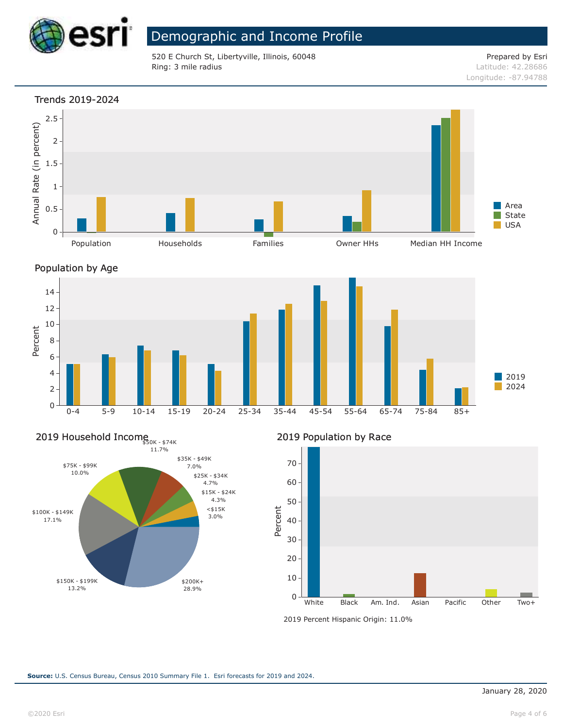

520 E Church St, Libertyville, Illinois, 60048 Ring: 3 mile radius

Prepared by Esri Latitude: 42.28686 Longitude: -87.94788

#### Trends 2019-2024







## 2019 Household Incomes<sub>50K - \$74K</sub>



2019 Population by Race



<sup>2019</sup> Percent Hispanic Origin: 11.0%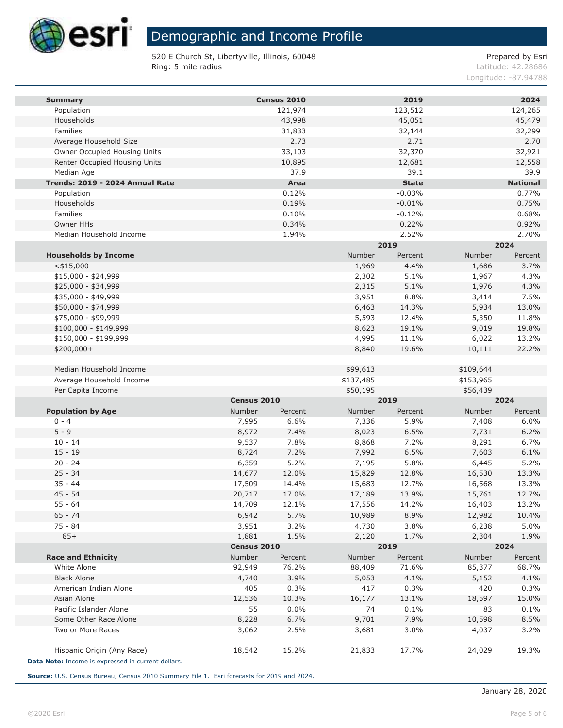

520 E Church St, Libertyville, Illinois, 60048 Ring: 5 mile radius

Prepared by Esri

Latitude: 42.28686 Longitude: -87.94788

| <b>Summary</b>                                     |             | Census 2010 |           | 2019         |           | 2024            |
|----------------------------------------------------|-------------|-------------|-----------|--------------|-----------|-----------------|
| Population                                         |             | 121,974     |           | 123,512      |           | 124,265         |
| Households                                         |             | 43,998      |           | 45,051       |           | 45,479          |
| Families                                           |             | 31,833      |           | 32,144       |           | 32,299          |
| Average Household Size                             |             | 2.73        |           | 2.71         |           | 2.70            |
| Owner Occupied Housing Units                       |             | 33,103      |           | 32,370       |           | 32,921          |
| Renter Occupied Housing Units                      |             | 10,895      |           | 12,681       |           | 12,558          |
| Median Age                                         |             | 37.9        |           | 39.1         |           | 39.9            |
| Trends: 2019 - 2024 Annual Rate                    |             | Area        |           | <b>State</b> |           | <b>National</b> |
| Population                                         |             | 0.12%       |           | $-0.03%$     |           | 0.77%           |
| Households                                         |             | 0.19%       |           | $-0.01%$     |           | 0.75%           |
| Families                                           |             | 0.10%       |           | $-0.12%$     |           | 0.68%           |
| Owner HHs                                          |             | 0.34%       |           | 0.22%        |           | 0.92%           |
| Median Household Income                            |             | 1.94%       |           | 2.52%        |           | 2.70%           |
|                                                    |             |             |           | 2019         |           | 2024            |
| <b>Households by Income</b>                        |             |             | Number    | Percent      | Number    | Percent         |
| $<$ \$15,000                                       |             |             | 1,969     | 4.4%         | 1,686     | 3.7%            |
| $$15,000 - $24,999$                                |             |             | 2,302     | 5.1%         | 1,967     | 4.3%            |
| \$25,000 - \$34,999                                |             |             | 2,315     | 5.1%         | 1,976     | 4.3%            |
| \$35,000 - \$49,999                                |             |             | 3,951     | 8.8%         | 3,414     | 7.5%            |
| \$50,000 - \$74,999                                |             |             | 6,463     | 14.3%        | 5,934     | 13.0%           |
| \$75,000 - \$99,999                                |             |             | 5,593     | 12.4%        | 5,350     | 11.8%           |
| $$100,000 - $149,999$                              |             |             | 8,623     | 19.1%        | 9,019     | 19.8%           |
| \$150,000 - \$199,999                              |             |             | 4,995     | 11.1%        | 6,022     | 13.2%           |
| \$200,000+                                         |             |             | 8,840     | 19.6%        | 10,111    | 22.2%           |
| Median Household Income                            |             |             | \$99,613  |              | \$109,644 |                 |
| Average Household Income                           |             |             | \$137,485 |              | \$153,965 |                 |
| Per Capita Income                                  |             |             | \$50,195  |              | \$56,439  |                 |
|                                                    | Census 2010 |             |           | 2019         |           | 2024            |
| <b>Population by Age</b>                           | Number      | Percent     | Number    | Percent      | Number    | Percent         |
| $0 - 4$                                            | 7,995       | 6.6%        | 7,336     | 5.9%         | 7,408     | 6.0%            |
| $5 - 9$                                            | 8,972       | 7.4%        | 8,023     | 6.5%         | 7,731     | 6.2%            |
| $10 - 14$                                          | 9,537       | 7.8%        | 8,868     | 7.2%         | 8,291     | 6.7%            |
| $15 - 19$                                          | 8,724       | 7.2%        | 7,992     | 6.5%         | 7,603     | 6.1%            |
| $20 - 24$                                          | 6,359       | 5.2%        | 7,195     | 5.8%         | 6,445     | 5.2%            |
| $25 - 34$                                          | 14,677      | 12.0%       | 15,829    | 12.8%        | 16,530    | 13.3%           |
| $35 - 44$                                          | 17,509      | 14.4%       | 15,683    | 12.7%        | 16,568    | 13.3%           |
| $45 - 54$                                          | 20,717      | 17.0%       | 17,189    | 13.9%        | 15,761    | 12.7%           |
| $55 - 64$                                          | 14,709      | 12.1%       | 17,556    | 14.2%        | 16,403    | 13.2%           |
| 65 - 74                                            | 6,942       | 5.7%        | 10,989    | 8.9%         | 12,982    | 10.4%           |
| 75 - 84                                            | 3,951       | 3.2%        | 4,730     | 3.8%         | 6,238     | 5.0%            |
| $85+$                                              | 1,881       | 1.5%        | 2,120     | 1.7%         | 2,304     | 1.9%            |
|                                                    | Census 2010 |             |           | 2019         |           | 2024            |
| <b>Race and Ethnicity</b>                          | Number      | Percent     | Number    | Percent      | Number    | Percent         |
| White Alone                                        | 92,949      | 76.2%       | 88,409    | 71.6%        | 85,377    | 68.7%           |
| <b>Black Alone</b>                                 | 4,740       | 3.9%        | 5,053     | 4.1%         | 5,152     | 4.1%            |
| American Indian Alone                              | 405         | 0.3%        | 417       | 0.3%         | 420       | 0.3%            |
| Asian Alone                                        | 12,536      | 10.3%       | 16,177    | 13.1%        | 18,597    | 15.0%           |
| Pacific Islander Alone                             | 55          | 0.0%        | 74        | 0.1%         | 83        | 0.1%            |
| Some Other Race Alone                              | 8,228       | 6.7%        | 9,701     | 7.9%         | 10,598    | 8.5%            |
| Two or More Races                                  | 3,062       | 2.5%        | 3,681     | 3.0%         | 4,037     | 3.2%            |
| Hispanic Origin (Any Race)                         | 18,542      | 15.2%       | 21,833    | 17.7%        | 24,029    | 19.3%           |
| Data Note: Income is expressed in current dollars. |             |             |           |              |           |                 |
|                                                    |             |             |           |              |           |                 |

Source: U.S. Census Bureau, Census 2010 Summary File 1. Esri forecasts for 2019 and 2024.